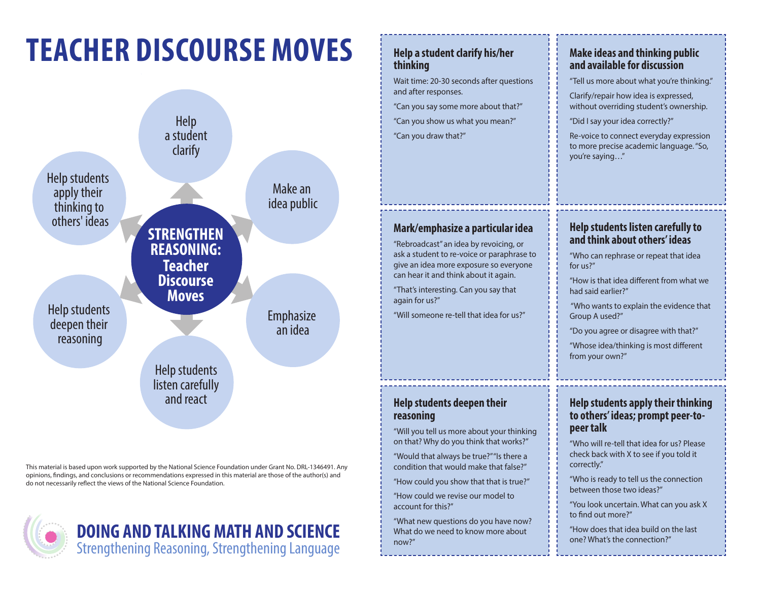# **TEACHER DISCOURSE MOVES**



This material is based upon work supported by the National Science Foundation under Grant No. DRL-1346491. Any opinions, findings, and conclusions or recommendations expressed in this material are those of the author(s) and do not necessarily reflect the views of the National Science Foundation.



# **DOING AND TALKING MATH AND SCIENCE** what do we need to know more about the provider that idea build on the last of the provider of the last of the strengthening, Strengthening Language Strengthening Strengthening Language

#### **Help a student clarify his/her thinking**

Wait time: 20-30 seconds after questions and after responses.

"Can you say some more about that?"

"Can you show us what you mean?" "Can you draw that?"

## **Mark/emphasize a particular idea**

"Rebroadcast" an idea by revoicing, or ask a student to re-voice or paraphrase to give an idea more exposure so everyone can hear it and think about it again.

"That's interesting. Can you say that again for us?"

"Will someone re-tell that idea for us?"

### **Help students deepen their reasoning**

"Will you tell us more about your thinking on that? Why do you think that works?"

"Would that always be true?" "Is there a condition that would make that false?"

"How could you show that that is true?"

"How could we revise our model to account for this?"

"What new questions do you have now? What do we need to know more about now?"

### **Make ideas and thinking public and available for discussion**

"Tell us more about what you're thinking."

Clarify/repair how idea is expressed, without overriding student's ownership.

"Did I say your idea correctly?"

Re-voice to connect everyday expression to more precise academic language. "So, you're saying…"

### **Help students listen carefully to and think about others' ideas**

"Who can rephrase or repeat that idea for us?"

"How is that idea different from what we had said earlier?"

 "Who wants to explain the evidence that Group A used?"

"Do you agree or disagree with that?"

"Whose idea/thinking is most different from your own?"

#### **Help students apply their thinking to others' ideas; prompt peer-topeer talk**

"Who will re-tell that idea for us? Please check back with X to see if you told it correctly."

"Who is ready to tell us the connection between those two ideas?"

"You look uncertain. What can you ask X to find out more?"